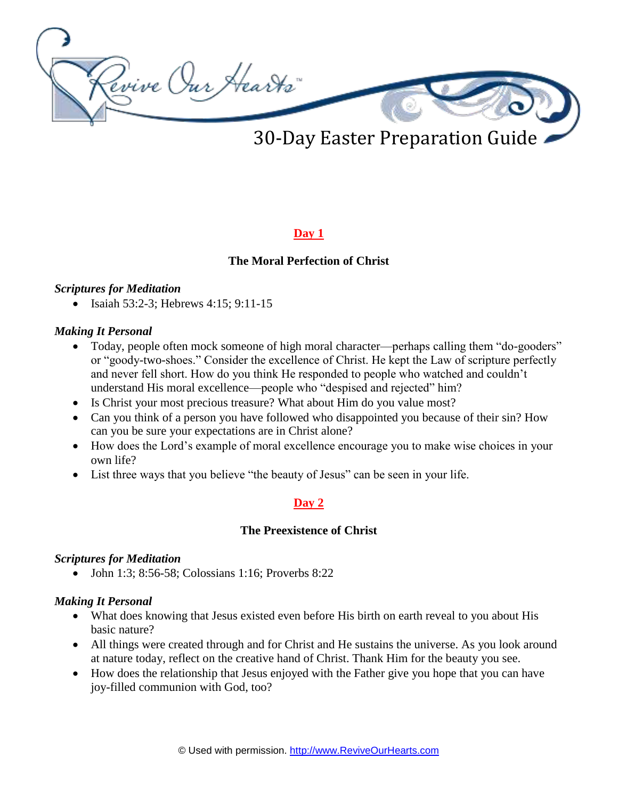

30-Day Easter Preparation Guide

# **Day 1**

### **The Moral Perfection of Christ**

#### *Scriptures for Meditation*

 $\bullet$  Isaiah 53:2-3; Hebrews 4:15; 9:11-15

#### *Making It Personal*

- Today, people often mock someone of high moral character—perhaps calling them "do-gooders" or "goody-two-shoes." Consider the excellence of Christ. He kept the Law of scripture perfectly and never fell short. How do you think He responded to people who watched and couldn't understand His moral excellence—people who "despised and rejected" him?
- Is Christ your most precious treasure? What about Him do you value most?
- Can you think of a person you have followed who disappointed you because of their sin? How can you be sure your expectations are in Christ alone?
- How does the Lord's example of moral excellence encourage you to make wise choices in your own life?
- List three ways that you believe "the beauty of Jesus" can be seen in your life.

### **Day 2**

#### **The Preexistence of Christ**

#### *Scriptures for Meditation*

• John 1:3; 8:56-58; Colossians 1:16; Proverbs 8:22

- What does knowing that Jesus existed even before His birth on earth reveal to you about His basic nature?
- All things were created through and for Christ and He sustains the universe. As you look around at nature today, reflect on the creative hand of Christ. Thank Him for the beauty you see.
- How does the relationship that Jesus enjoyed with the Father give you hope that you can have joy-filled communion with God, too?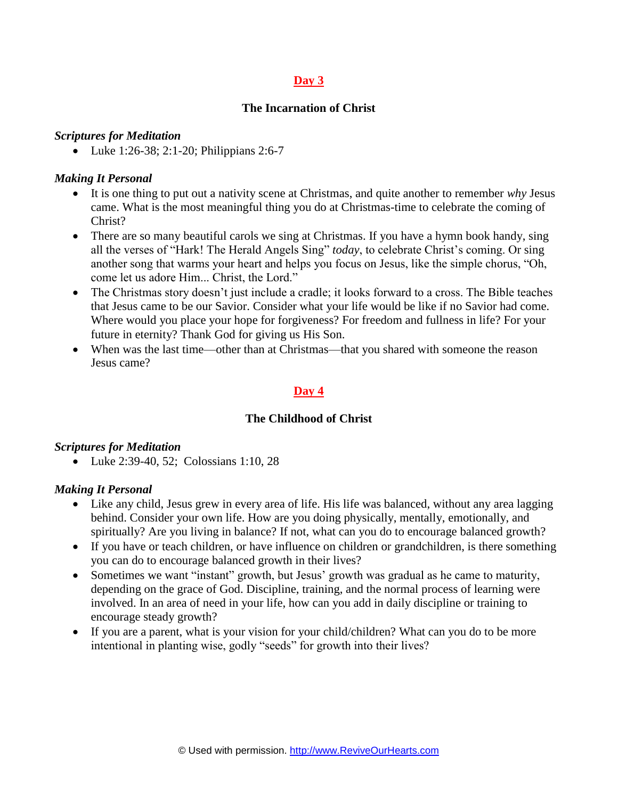### **The Incarnation of Christ**

#### *Scriptures for Meditation*

• Luke 1:26-38; 2:1-20; Philippians 2:6-7

### *Making It Personal*

- It is one thing to put out a nativity scene at Christmas, and quite another to remember *why* Jesus came. What is the most meaningful thing you do at Christmas-time to celebrate the coming of Christ?
- There are so many beautiful carols we sing at Christmas. If you have a hymn book handy, sing all the verses of "Hark! The Herald Angels Sing" *today*, to celebrate Christ's coming. Or sing another song that warms your heart and helps you focus on Jesus, like the simple chorus, "Oh, come let us adore Him... Christ, the Lord."
- The Christmas story doesn't just include a cradle; it looks forward to a cross. The Bible teaches that Jesus came to be our Savior. Consider what your life would be like if no Savior had come. Where would you place your hope for forgiveness? For freedom and fullness in life? For your future in eternity? Thank God for giving us His Son.
- When was the last time—other than at Christmas—that you shared with someone the reason Jesus came?

# **Day 4**

### **The Childhood of Christ**

#### *Scriptures for Meditation*

• Luke 2:39-40, 52; Colossians 1:10, 28

- Like any child, Jesus grew in every area of life. His life was balanced, without any area lagging behind. Consider your own life. How are you doing physically, mentally, emotionally, and spiritually? Are you living in balance? If not, what can you do to encourage balanced growth?
- If you have or teach children, or have influence on children or grandchildren, is there something you can do to encourage balanced growth in their lives?
- Sometimes we want "instant" growth, but Jesus' growth was gradual as he came to maturity, depending on the grace of God. Discipline, training, and the normal process of learning were involved. In an area of need in your life, how can you add in daily discipline or training to encourage steady growth?
- If you are a parent, what is your vision for your child/children? What can you do to be more intentional in planting wise, godly "seeds" for growth into their lives?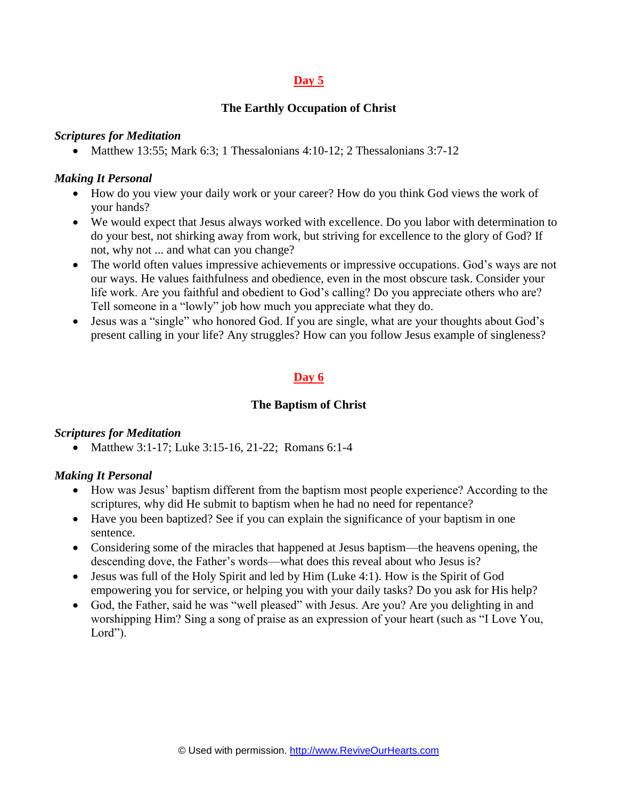### **The Earthly Occupation of Christ**

#### *Scriptures for Meditation*

• Matthew 13:55; Mark 6:3; 1 Thessalonians 4:10-12; 2 Thessalonians  $3:7-12$ 

### *Making It Personal*

- How do you view your daily work or your career? How do you think God views the work of your hands?
- We would expect that Jesus always worked with excellence. Do you labor with determination to do your best, not shirking away from work, but striving for excellence to the glory of God? If not, why not ... and what can you change?
- The world often values impressive achievements or impressive occupations. God's ways are not our ways. He values faithfulness and obedience, even in the most obscure task. Consider your life work. Are you faithful and obedient to God's calling? Do you appreciate others who are? Tell someone in a "lowly" job how much you appreciate what they do.
- Jesus was a "single" who honored God. If you are single, what are your thoughts about God's present calling in your life? Any struggles? How can you follow Jesus example of singleness?

### **Day 6**

### **The Baptism of Christ**

#### *Scriptures for Meditation*

• Matthew 3:1-17; Luke 3:15-16, 21-22; Romans 6:1-4

- How was Jesus' baptism different from the baptism most people experience? According to the scriptures, why did He submit to baptism when he had no need for repentance?
- Have you been baptized? See if you can explain the significance of your baptism in one sentence.
- Considering some of the miracles that happened at Jesus baptism—the heavens opening, the descending dove, the Father's words—what does this reveal about who Jesus is?
- Jesus was full of the Holy Spirit and led by Him (Luke 4:1). How is the Spirit of God empowering you for service, or helping you with your daily tasks? Do you ask for His help?
- God, the Father, said he was "well pleased" with Jesus. Are you? Are you delighting in and worshipping Him? Sing a song of praise as an expression of your heart (such as "I Love You, Lord").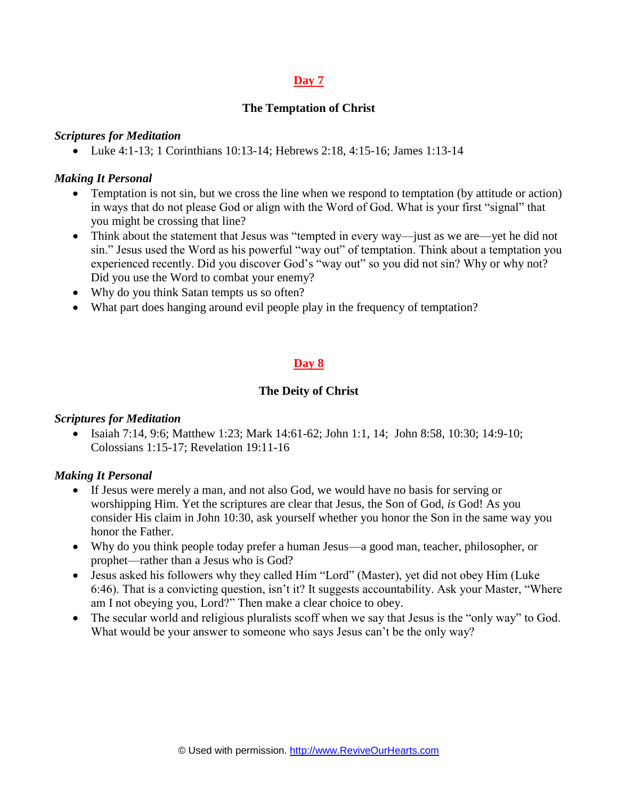### **The Temptation of Christ**

#### *Scriptures for Meditation*

• Luke 4:1-13; 1 Corinthians 10:13-14; Hebrews 2:18, 4:15-16; James 1:13-14

### *Making It Personal*

- Temptation is not sin, but we cross the line when we respond to temptation (by attitude or action) in ways that do not please God or align with the Word of God. What is your first "signal" that you might be crossing that line?
- Think about the statement that Jesus was "tempted in every way—just as we are—yet he did not sin." Jesus used the Word as his powerful "way out" of temptation. Think about a temptation you experienced recently. Did you discover God's "way out" so you did not sin? Why or why not? Did you use the Word to combat your enemy?
- Why do you think Satan tempts us so often?
- What part does hanging around evil people play in the frequency of temptation?

# **Day 8**

### **The Deity of Christ**

#### *Scriptures for Meditation*

 $\bullet$  Isaiah 7:14, 9:6; Matthew 1:23; Mark 14:61-62; John 1:1, 14; John 8:58, 10:30; 14:9-10; Colossians 1:15-17; Revelation 19:11-16

- If Jesus were merely a man, and not also God, we would have no basis for serving or worshipping Him. Yet the scriptures are clear that Jesus, the Son of God, *is* God! As you consider His claim in John 10:30, ask yourself whether you honor the Son in the same way you honor the Father.
- Why do you think people today prefer a human Jesus—a good man, teacher, philosopher, or prophet—rather than a Jesus who is God?
- Jesus asked his followers why they called Him "Lord" (Master), yet did not obey Him (Luke 6:46). That is a convicting question, isn't it? It suggests accountability. Ask your Master, "Where am I not obeying you, Lord?" Then make a clear choice to obey.
- The secular world and religious pluralists scoff when we say that Jesus is the "only way" to God. What would be your answer to someone who says Jesus can't be the only way?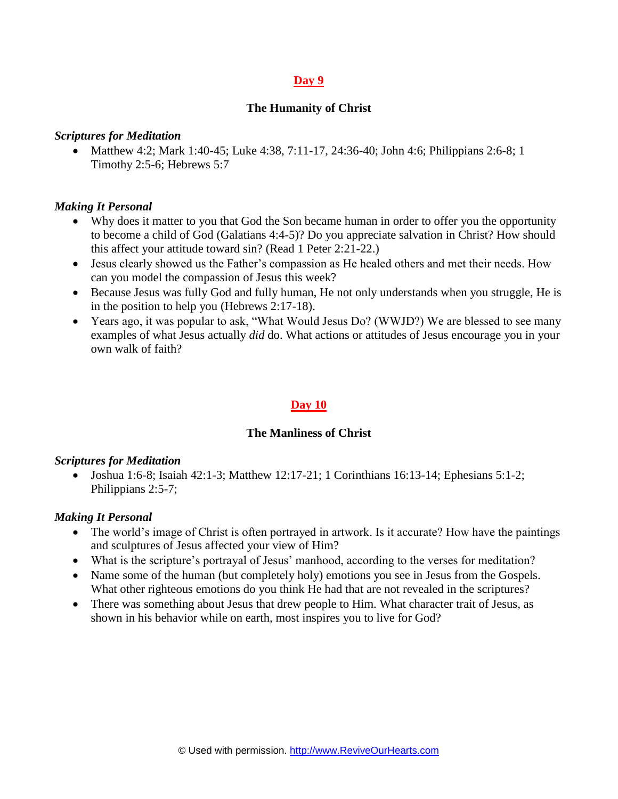#### **The Humanity of Christ**

#### *Scriptures for Meditation*

• Matthew 4:2; Mark 1:40-45; Luke 4:38, 7:11-17, 24:36-40; John 4:6; Philippians 2:6-8; 1 Timothy 2:5-6; Hebrews 5:7

#### *Making It Personal*

- Why does it matter to you that God the Son became human in order to offer you the opportunity to become a child of God (Galatians 4:4-5)? Do you appreciate salvation in Christ? How should this affect your attitude toward sin? (Read 1 Peter 2:21-22.)
- Jesus clearly showed us the Father's compassion as He healed others and met their needs. How can you model the compassion of Jesus this week?
- Because Jesus was fully God and fully human, He not only understands when you struggle, He is in the position to help you (Hebrews 2:17-18).
- Years ago, it was popular to ask, "What Would Jesus Do? (WWJD?) We are blessed to see many examples of what Jesus actually *did* do. What actions or attitudes of Jesus encourage you in your own walk of faith?

### **Day 10**

#### **The Manliness of Christ**

#### *Scriptures for Meditation*

• Joshua 1:6-8; Isaiah 42:1-3; Matthew 12:17-21; 1 Corinthians 16:13-14; Ephesians 5:1-2; Philippians 2:5-7;

- The world's image of Christ is often portrayed in artwork. Is it accurate? How have the paintings and sculptures of Jesus affected your view of Him?
- What is the scripture's portrayal of Jesus' manhood, according to the verses for meditation?
- Name some of the human (but completely holy) emotions you see in Jesus from the Gospels. What other righteous emotions do you think He had that are not revealed in the scriptures?
- There was something about Jesus that drew people to Him. What character trait of Jesus, as shown in his behavior while on earth, most inspires you to live for God?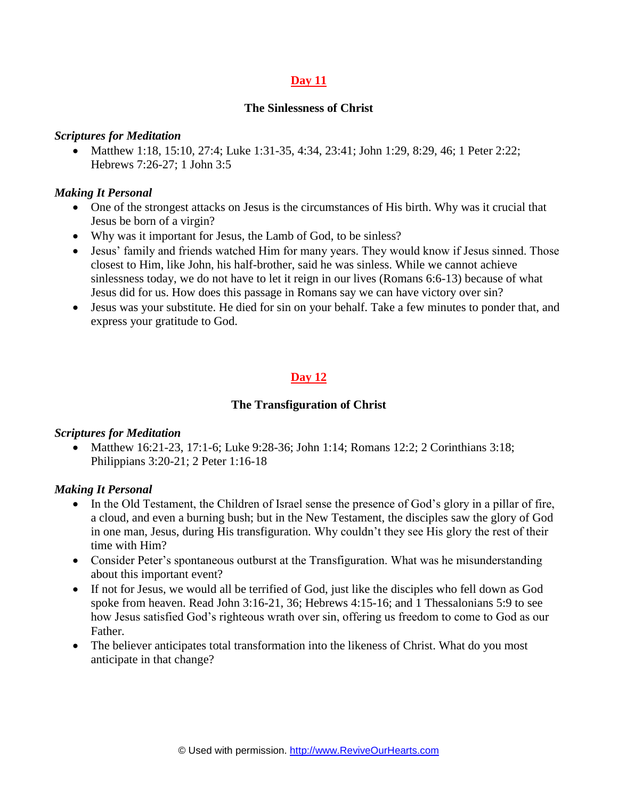#### **The Sinlessness of Christ**

#### *Scriptures for Meditation*

• Matthew 1:18, 15:10, 27:4; Luke 1:31-35, 4:34, 23:41; John 1:29, 8:29, 46; 1 Peter 2:22; Hebrews 7:26-27; 1 John 3:5

#### *Making It Personal*

- One of the strongest attacks on Jesus is the circumstances of His birth. Why was it crucial that Jesus be born of a virgin?
- Why was it important for Jesus, the Lamb of God, to be sinless?
- Jesus' family and friends watched Him for many years. They would know if Jesus sinned. Those closest to Him, like John, his half-brother, said he was sinless. While we cannot achieve sinlessness today, we do not have to let it reign in our lives (Romans 6:6-13) because of what Jesus did for us. How does this passage in Romans say we can have victory over sin?
- Jesus was your substitute. He died for sin on your behalf. Take a few minutes to ponder that, and express your gratitude to God.

# **Day 12**

#### **The Transfiguration of Christ**

#### *Scriptures for Meditation*

• Matthew 16:21-23, 17:1-6; Luke 9:28-36; John 1:14; Romans 12:2; 2 Corinthians 3:18; Philippians 3:20-21; 2 Peter 1:16-18

- In the Old Testament, the Children of Israel sense the presence of God's glory in a pillar of fire, a cloud, and even a burning bush; but in the New Testament, the disciples saw the glory of God in one man, Jesus, during His transfiguration. Why couldn't they see His glory the rest of their time with Him?
- Consider Peter's spontaneous outburst at the Transfiguration. What was he misunderstanding about this important event?
- If not for Jesus, we would all be terrified of God, just like the disciples who fell down as God spoke from heaven. Read John 3:16-21, 36; Hebrews 4:15-16; and 1 Thessalonians 5:9 to see how Jesus satisfied God's righteous wrath over sin, offering us freedom to come to God as our Father.
- The believer anticipates total transformation into the likeness of Christ. What do you most anticipate in that change?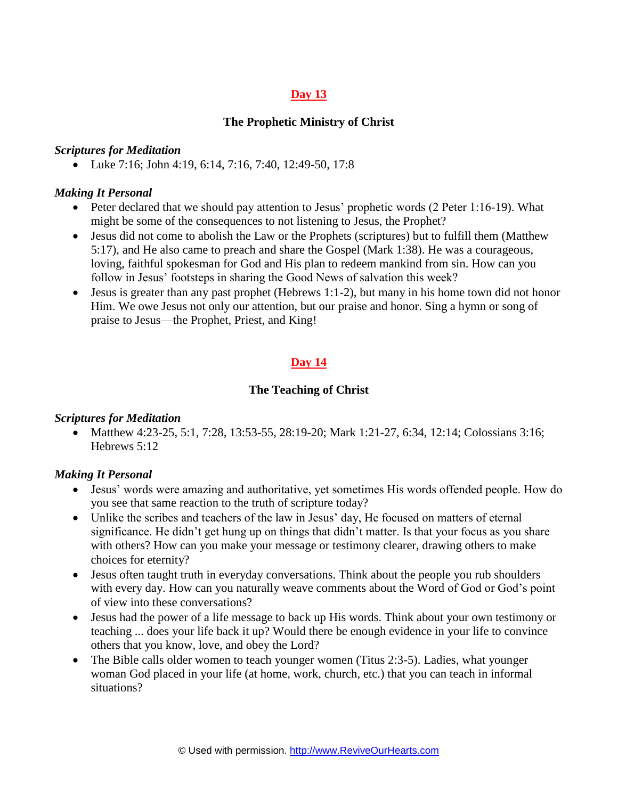### **The Prophetic Ministry of Christ**

### *Scriptures for Meditation*

• Luke 7:16; John 4:19, 6:14, 7:16, 7:40, 12:49-50, 17:8

### *Making It Personal*

- Peter declared that we should pay attention to Jesus' prophetic words (2 Peter 1:16-19). What might be some of the consequences to not listening to Jesus, the Prophet?
- Jesus did not come to abolish the Law or the Prophets (scriptures) but to fulfill them (Matthew 5:17), and He also came to preach and share the Gospel (Mark 1:38). He was a courageous, loving, faithful spokesman for God and His plan to redeem mankind from sin. How can you follow in Jesus' footsteps in sharing the Good News of salvation this week?
- $\bullet$  Jesus is greater than any past prophet (Hebrews 1:1-2), but many in his home town did not honor Him. We owe Jesus not only our attention, but our praise and honor. Sing a hymn or song of praise to Jesus—the Prophet, Priest, and King!

# **Day 14**

### **The Teaching of Christ**

#### *Scriptures for Meditation*

• Matthew 4:23-25, 5:1, 7:28, 13:53-55, 28:19-20; Mark 1:21-27, 6:34, 12:14; Colossians 3:16; Hebrews 5:12

- Jesus' words were amazing and authoritative, yet sometimes His words offended people. How do you see that same reaction to the truth of scripture today?
- Unlike the scribes and teachers of the law in Jesus' day, He focused on matters of eternal significance. He didn't get hung up on things that didn't matter. Is that your focus as you share with others? How can you make your message or testimony clearer, drawing others to make choices for eternity?
- Jesus often taught truth in everyday conversations. Think about the people you rub shoulders with every day. How can you naturally weave comments about the Word of God or God's point of view into these conversations?
- Jesus had the power of a life message to back up His words. Think about your own testimony or teaching ... does your life back it up? Would there be enough evidence in your life to convince others that you know, love, and obey the Lord?
- The Bible calls older women to teach younger women (Titus 2:3-5). Ladies, what younger woman God placed in your life (at home, work, church, etc.) that you can teach in informal situations?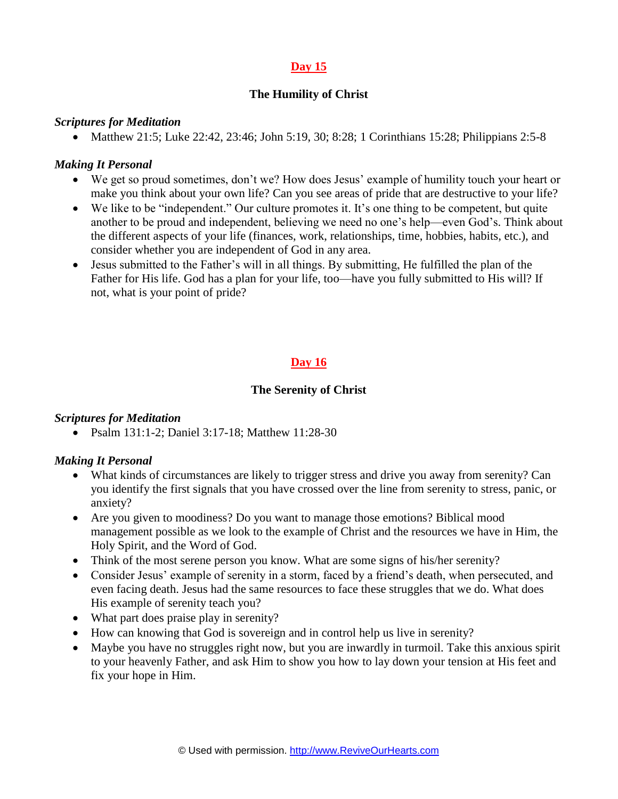## **The Humility of Christ**

### *Scriptures for Meditation*

• Matthew 21:5; Luke 22:42, 23:46; John 5:19, 30; 8:28; 1 Corinthians 15:28; Philippians 2:5-8

### *Making It Personal*

- We get so proud sometimes, don't we? How does Jesus' example of humility touch your heart or make you think about your own life? Can you see areas of pride that are destructive to your life?
- We like to be "independent." Our culture promotes it. It's one thing to be competent, but quite another to be proud and independent, believing we need no one's help—even God's. Think about the different aspects of your life (finances, work, relationships, time, hobbies, habits, etc.), and consider whether you are independent of God in any area.
- Jesus submitted to the Father's will in all things. By submitting, He fulfilled the plan of the Father for His life. God has a plan for your life, too—have you fully submitted to His will? If not, what is your point of pride?

# **Day 16**

### **The Serenity of Christ**

#### *Scriptures for Meditation*

• Psalm 131:1-2; Daniel 3:17-18; Matthew 11:28-30

- What kinds of circumstances are likely to trigger stress and drive you away from serenity? Can you identify the first signals that you have crossed over the line from serenity to stress, panic, or anxiety?
- Are you given to moodiness? Do you want to manage those emotions? Biblical mood management possible as we look to the example of Christ and the resources we have in Him, the Holy Spirit, and the Word of God.
- Think of the most serene person you know. What are some signs of his/her serenity?
- Consider Jesus' example of serenity in a storm, faced by a friend's death, when persecuted, and even facing death. Jesus had the same resources to face these struggles that we do. What does His example of serenity teach you?
- What part does praise play in serenity?
- How can knowing that God is sovereign and in control help us live in serenity?
- Maybe you have no struggles right now, but you are inwardly in turmoil. Take this anxious spirit to your heavenly Father, and ask Him to show you how to lay down your tension at His feet and fix your hope in Him.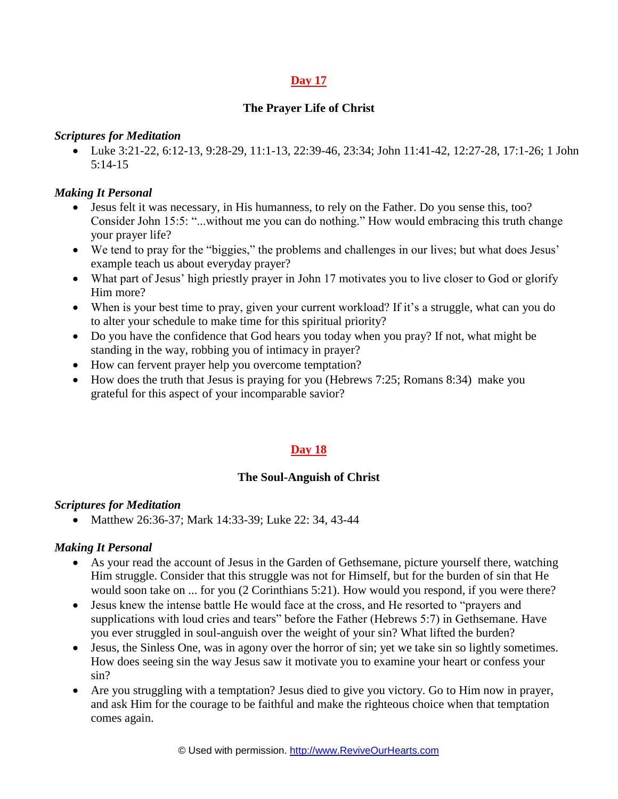### **The Prayer Life of Christ**

#### *Scriptures for Meditation*

 Luke 3:21-22, 6:12-13, 9:28-29, 11:1-13, 22:39-46, 23:34; John 11:41-42, 12:27-28, 17:1-26; 1 John 5:14-15

### *Making It Personal*

- Jesus felt it was necessary, in His humanness, to rely on the Father. Do you sense this, too? Consider John 15:5: "...without me you can do nothing." How would embracing this truth change your prayer life?
- We tend to pray for the "biggies," the problems and challenges in our lives; but what does Jesus' example teach us about everyday prayer?
- What part of Jesus' high priestly prayer in John 17 motivates you to live closer to God or glorify Him more?
- When is your best time to pray, given your current workload? If it's a struggle, what can you do to alter your schedule to make time for this spiritual priority?
- Do you have the confidence that God hears you today when you pray? If not, what might be standing in the way, robbing you of intimacy in prayer?
- How can fervent prayer help you overcome temptation?
- $\bullet$  How does the truth that Jesus is praying for you (Hebrews 7:25; Romans 8:34) make you grateful for this aspect of your incomparable savior?

# **Day 18**

### **The Soul-Anguish of Christ**

### *Scriptures for Meditation*

• Matthew 26:36-37; Mark 14:33-39; Luke 22: 34, 43-44

- As your read the account of Jesus in the Garden of Gethsemane, picture yourself there, watching Him struggle. Consider that this struggle was not for Himself, but for the burden of sin that He would soon take on ... for you (2 Corinthians 5:21). How would you respond, if you were there?
- Jesus knew the intense battle He would face at the cross, and He resorted to "prayers and supplications with loud cries and tears" before the Father (Hebrews 5:7) in Gethsemane. Have you ever struggled in soul-anguish over the weight of your sin? What lifted the burden?
- Jesus, the Sinless One, was in agony over the horror of sin; yet we take sin so lightly sometimes. How does seeing sin the way Jesus saw it motivate you to examine your heart or confess your sin?
- Are you struggling with a temptation? Jesus died to give you victory. Go to Him now in prayer, and ask Him for the courage to be faithful and make the righteous choice when that temptation comes again.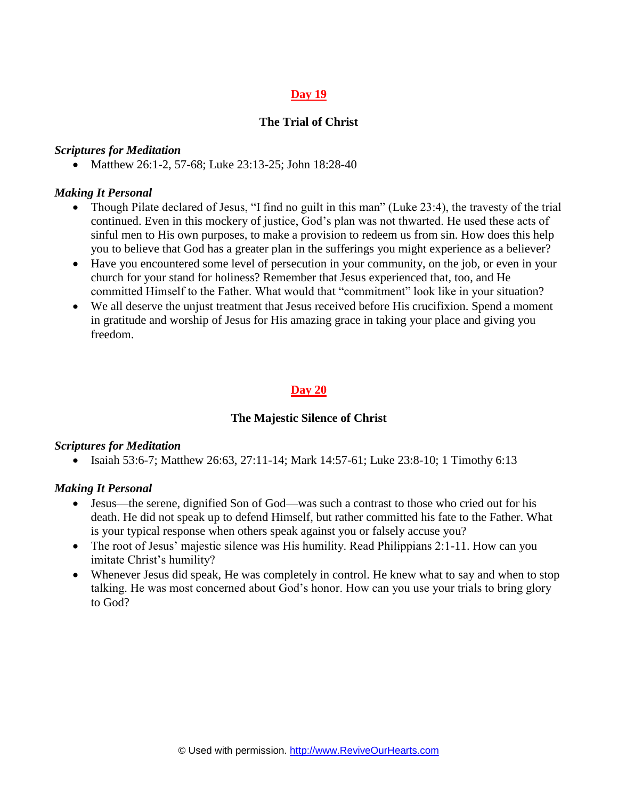### **The Trial of Christ**

#### *Scriptures for Meditation*

• Matthew 26:1-2, 57-68; Luke 23:13-25; John 18:28-40

#### *Making It Personal*

- Though Pilate declared of Jesus, "I find no guilt in this man" (Luke 23:4), the travesty of the trial continued. Even in this mockery of justice, God's plan was not thwarted. He used these acts of sinful men to His own purposes, to make a provision to redeem us from sin. How does this help you to believe that God has a greater plan in the sufferings you might experience as a believer?
- Have you encountered some level of persecution in your community, on the job, or even in your church for your stand for holiness? Remember that Jesus experienced that, too, and He committed Himself to the Father. What would that "commitment" look like in your situation?
- We all deserve the unjust treatment that Jesus received before His crucifixion. Spend a moment in gratitude and worship of Jesus for His amazing grace in taking your place and giving you freedom.

### **Day 20**

#### **The Majestic Silence of Christ**

#### *Scriptures for Meditation*

• Isaiah 53:6-7; Matthew 26:63, 27:11-14; Mark 14:57-61; Luke 23:8-10; 1 Timothy 6:13

- Jesus—the serene, dignified Son of God—was such a contrast to those who cried out for his death. He did not speak up to defend Himself, but rather committed his fate to the Father. What is your typical response when others speak against you or falsely accuse you?
- The root of Jesus' majestic silence was His humility. Read Philippians 2:1-11. How can you imitate Christ's humility?
- Whenever Jesus did speak, He was completely in control. He knew what to say and when to stop talking. He was most concerned about God's honor. How can you use your trials to bring glory to God?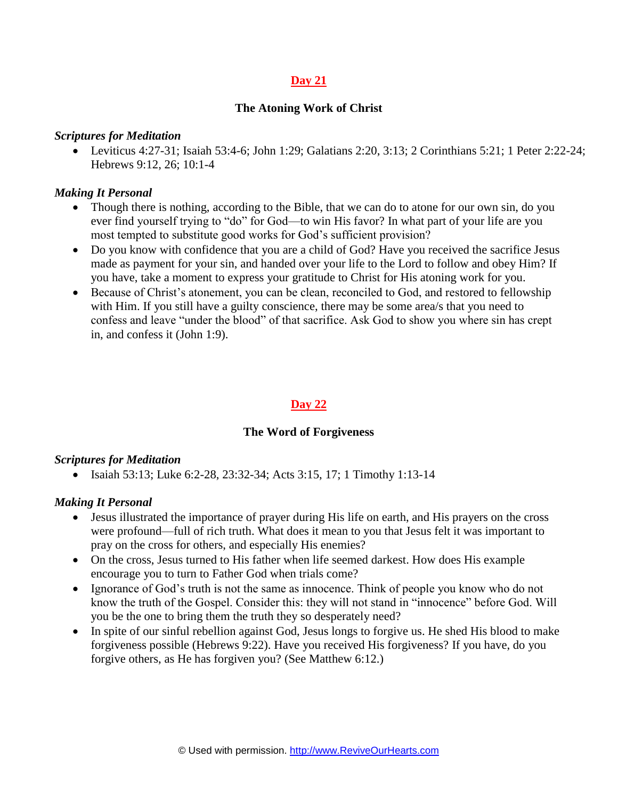### **The Atoning Work of Christ**

#### *Scriptures for Meditation*

 Leviticus 4:27-31; Isaiah 53:4-6; John 1:29; Galatians 2:20, 3:13; 2 Corinthians 5:21; 1 Peter 2:22-24; Hebrews 9:12, 26; 10:1-4

#### *Making It Personal*

- Though there is nothing, according to the Bible, that we can do to atone for our own sin, do you ever find yourself trying to "do" for God—to win His favor? In what part of your life are you most tempted to substitute good works for God's sufficient provision?
- Do you know with confidence that you are a child of God? Have you received the sacrifice Jesus made as payment for your sin, and handed over your life to the Lord to follow and obey Him? If you have, take a moment to express your gratitude to Christ for His atoning work for you.
- Because of Christ's atonement, you can be clean, reconciled to God, and restored to fellowship with Him. If you still have a guilty conscience, there may be some area/s that you need to confess and leave "under the blood" of that sacrifice. Ask God to show you where sin has crept in, and confess it (John 1:9).

### **Day 22**

#### **The Word of Forgiveness**

#### *Scriptures for Meditation*

• Isaiah 53:13; Luke 6:2-28, 23:32-34; Acts 3:15, 17; 1 Timothy 1:13-14

- Jesus illustrated the importance of prayer during His life on earth, and His prayers on the cross were profound—full of rich truth. What does it mean to you that Jesus felt it was important to pray on the cross for others, and especially His enemies?
- On the cross, Jesus turned to His father when life seemed darkest. How does His example encourage you to turn to Father God when trials come?
- Ignorance of God's truth is not the same as innocence. Think of people you know who do not know the truth of the Gospel. Consider this: they will not stand in "innocence" before God. Will you be the one to bring them the truth they so desperately need?
- In spite of our sinful rebellion against God, Jesus longs to forgive us. He shed His blood to make forgiveness possible (Hebrews 9:22). Have you received His forgiveness? If you have, do you forgive others, as He has forgiven you? (See Matthew 6:12.)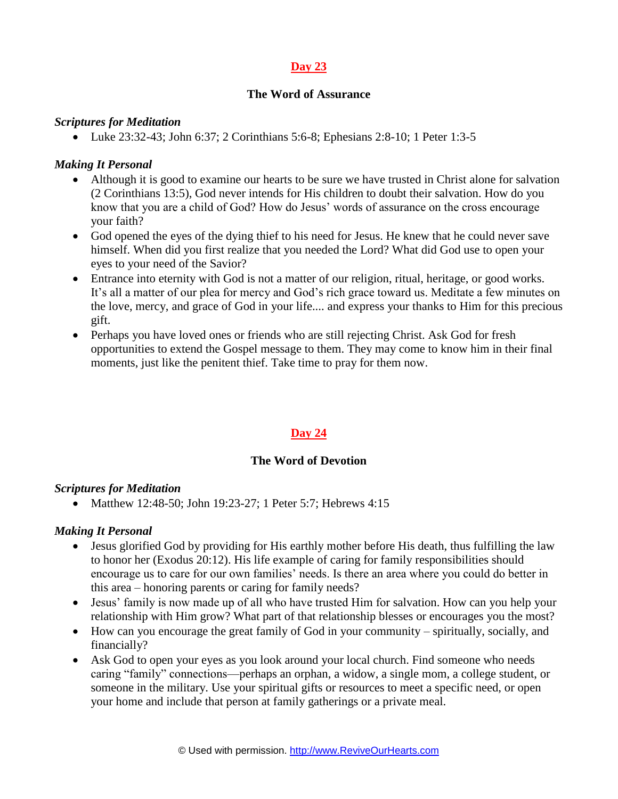### **The Word of Assurance**

#### *Scriptures for Meditation*

Luke 23:32-43; John 6:37; 2 Corinthians 5:6-8; Ephesians 2:8-10; 1 Peter 1:3-5

### *Making It Personal*

- Although it is good to examine our hearts to be sure we have trusted in Christ alone for salvation (2 Corinthians 13:5), God never intends for His children to doubt their salvation. How do you know that you are a child of God? How do Jesus' words of assurance on the cross encourage your faith?
- God opened the eyes of the dying thief to his need for Jesus. He knew that he could never save himself. When did you first realize that you needed the Lord? What did God use to open your eyes to your need of the Savior?
- Entrance into eternity with God is not a matter of our religion, ritual, heritage, or good works. It's all a matter of our plea for mercy and God's rich grace toward us. Meditate a few minutes on the love, mercy, and grace of God in your life.... and express your thanks to Him for this precious gift.
- Perhaps you have loved ones or friends who are still rejecting Christ. Ask God for fresh opportunities to extend the Gospel message to them. They may come to know him in their final moments, just like the penitent thief. Take time to pray for them now.

# **Day 24**

### **The Word of Devotion**

#### *Scriptures for Meditation*

• Matthew 12:48-50; John 19:23-27; 1 Peter 5:7; Hebrews 4:15

- Jesus glorified God by providing for His earthly mother before His death, thus fulfilling the law to honor her (Exodus 20:12). His life example of caring for family responsibilities should encourage us to care for our own families' needs. Is there an area where you could do better in this area – honoring parents or caring for family needs?
- Jesus' family is now made up of all who have trusted Him for salvation. How can you help your relationship with Him grow? What part of that relationship blesses or encourages you the most?
- How can you encourage the great family of God in your community spiritually, socially, and financially?
- Ask God to open your eyes as you look around your local church. Find someone who needs caring "family" connections—perhaps an orphan, a widow, a single mom, a college student, or someone in the military. Use your spiritual gifts or resources to meet a specific need, or open your home and include that person at family gatherings or a private meal.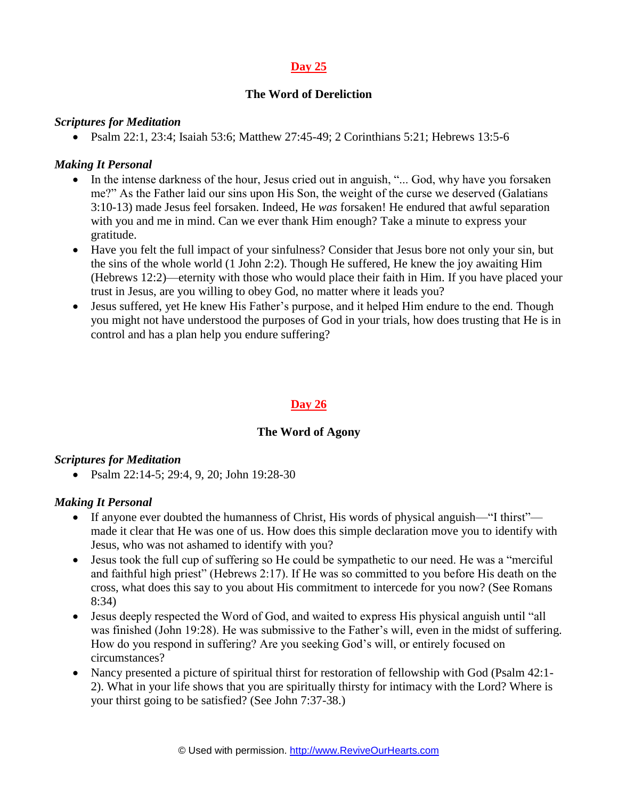## **The Word of Dereliction**

#### *Scriptures for Meditation*

• Psalm 22:1, 23:4; Isaiah 53:6; Matthew 27:45-49; 2 Corinthians 5:21; Hebrews 13:5-6

### *Making It Personal*

- In the intense darkness of the hour, Jesus cried out in anguish, "... God, why have you forsaken me?" As the Father laid our sins upon His Son, the weight of the curse we deserved (Galatians 3:10-13) made Jesus feel forsaken. Indeed, He *was* forsaken! He endured that awful separation with you and me in mind. Can we ever thank Him enough? Take a minute to express your gratitude.
- Have you felt the full impact of your sinfulness? Consider that Jesus bore not only your sin, but the sins of the whole world (1 John 2:2). Though He suffered, He knew the joy awaiting Him (Hebrews 12:2)—eternity with those who would place their faith in Him. If you have placed your trust in Jesus, are you willing to obey God, no matter where it leads you?
- Jesus suffered, yet He knew His Father's purpose, and it helped Him endure to the end. Though you might not have understood the purposes of God in your trials, how does trusting that He is in control and has a plan help you endure suffering?

### **Day 26**

#### **The Word of Agony**

#### *Scriptures for Meditation*

• Psalm 22:14-5; 29:4, 9, 20; John 19:28-30

- If anyone ever doubted the humanness of Christ, His words of physical anguish—"I thirst" made it clear that He was one of us. How does this simple declaration move you to identify with Jesus, who was not ashamed to identify with you?
- Jesus took the full cup of suffering so He could be sympathetic to our need. He was a "merciful and faithful high priest" (Hebrews 2:17). If He was so committed to you before His death on the cross, what does this say to you about His commitment to intercede for you now? (See Romans 8:34)
- Jesus deeply respected the Word of God, and waited to express His physical anguish until "all was finished (John 19:28). He was submissive to the Father's will, even in the midst of suffering. How do you respond in suffering? Are you seeking God's will, or entirely focused on circumstances?
- Nancy presented a picture of spiritual thirst for restoration of fellowship with God (Psalm 42:1-2). What in your life shows that you are spiritually thirsty for intimacy with the Lord? Where is your thirst going to be satisfied? (See John 7:37-38.)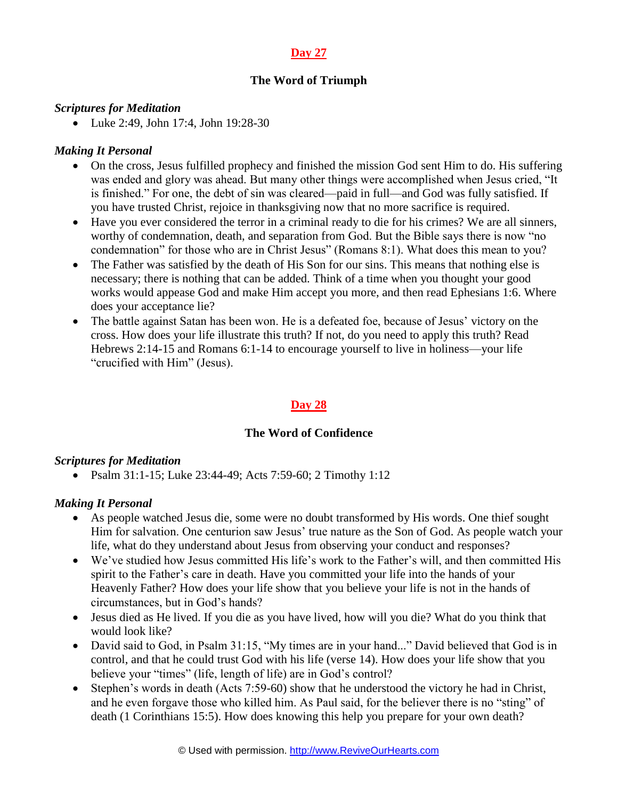# **The Word of Triumph**

### *Scriptures for Meditation*

• Luke 2:49, John 17:4, John 19:28-30

### *Making It Personal*

- On the cross, Jesus fulfilled prophecy and finished the mission God sent Him to do. His suffering was ended and glory was ahead. But many other things were accomplished when Jesus cried, "It is finished." For one, the debt of sin was cleared—paid in full—and God was fully satisfied. If you have trusted Christ, rejoice in thanksgiving now that no more sacrifice is required.
- Have you ever considered the terror in a criminal ready to die for his crimes? We are all sinners, worthy of condemnation, death, and separation from God. But the Bible says there is now "no condemnation" for those who are in Christ Jesus" (Romans 8:1). What does this mean to you?
- The Father was satisfied by the death of His Son for our sins. This means that nothing else is necessary; there is nothing that can be added. Think of a time when you thought your good works would appease God and make Him accept you more, and then read Ephesians 1:6. Where does your acceptance lie?
- The battle against Satan has been won. He is a defeated foe, because of Jesus' victory on the cross. How does your life illustrate this truth? If not, do you need to apply this truth? Read Hebrews 2:14-15 and Romans 6:1-14 to encourage yourself to live in holiness—your life "crucified with Him" (Jesus).

## **Day 28**

### **The Word of Confidence**

### *Scriptures for Meditation*

Psalm 31:1-15; Luke 23:44-49; Acts 7:59-60; 2 Timothy 1:12

- As people watched Jesus die, some were no doubt transformed by His words. One thief sought Him for salvation. One centurion saw Jesus' true nature as the Son of God. As people watch your life, what do they understand about Jesus from observing your conduct and responses?
- We've studied how Jesus committed His life's work to the Father's will, and then committed His spirit to the Father's care in death. Have you committed your life into the hands of your Heavenly Father? How does your life show that you believe your life is not in the hands of circumstances, but in God's hands?
- Jesus died as He lived. If you die as you have lived, how will you die? What do you think that would look like?
- David said to God, in Psalm 31:15, "My times are in your hand..." David believed that God is in control, and that he could trust God with his life (verse 14). How does your life show that you believe your "times" (life, length of life) are in God's control?
- Stephen's words in death (Acts 7:59-60) show that he understood the victory he had in Christ, and he even forgave those who killed him. As Paul said, for the believer there is no "sting" of death (1 Corinthians 15:5). How does knowing this help you prepare for your own death?